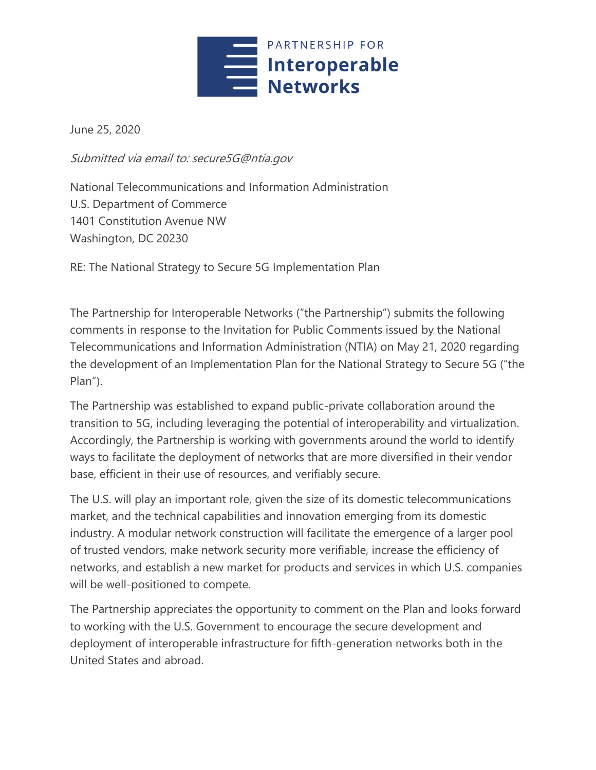

June 25, 2020

Submitted via email to: secure5G@ntia.gov

National Telecommunications and Information Administration U.S. Department of Commerce 1401 Constitution Avenue NW Washington, DC 20230

RE: The National Strategy to Secure 5G Implementation Plan

The Partnership for Interoperable Networks ("the Partnership") submits the following comments in response to the Invitation for Public Comments issued by the National Telecommunications and Information Administration (NTIA) on May 21, 2020 regarding the development of an Implementation Plan for the National Strategy to Secure 5G ("the Plan").

The Partnership was established to expand public-private collaboration around the transition to 5G, including leveraging the potential of interoperability and virtualization. Accordingly, the Partnership is working with governments around the world to identify ways to facilitate the deployment of networks that are more diversified in their vendor base, efficient in their use of resources, and verifiably secure.

The U.S. will play an important role, given the size of its domestic telecommunications market, and the technical capabilities and innovation emerging from its domestic industry. A modular network construction will facilitate the emergence of a larger pool of trusted vendors, make network security more verifiable, increase the efficiency of networks, and establish a new market for products and services in which U.S. companies will be well-positioned to compete.

The Partnership appreciates the opportunity to comment on the Plan and looks forward to working with the U.S. Government to encourage the secure development and deployment of interoperable infrastructure for fifth-generation networks both in the United States and abroad.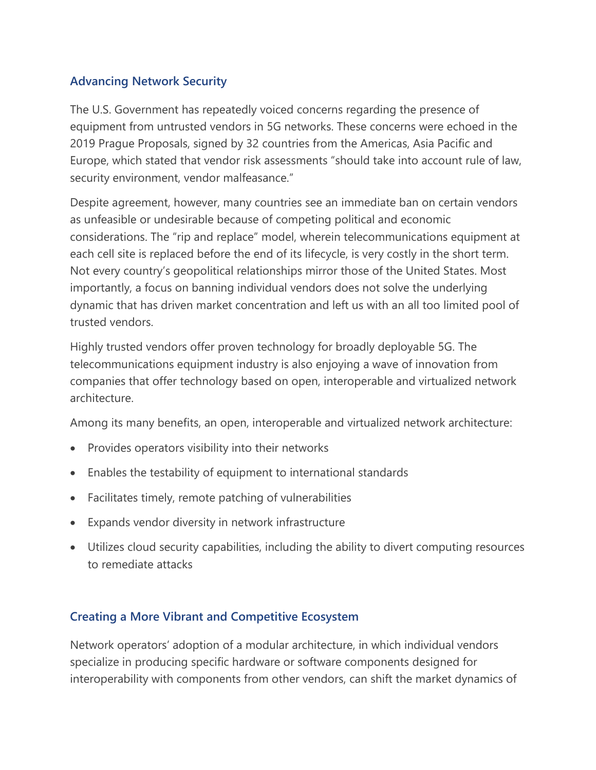# **Advancing Network Security**

The U.S. Government has repeatedly voiced concerns regarding the presence of equipment from untrusted vendors in 5G networks. These concerns were echoed in the 2019 Prague Proposals, signed by 32 countries from the Americas, Asia Pacific and Europe, which stated that vendor risk assessments "should take into account rule of law, security environment, vendor malfeasance."

Despite agreement, however, many countries see an immediate ban on certain vendors as unfeasible or undesirable because of competing political and economic considerations. The "rip and replace" model, wherein telecommunications equipment at each cell site is replaced before the end of its lifecycle, is very costly in the short term. Not every country's geopolitical relationships mirror those of the United States. Most importantly, a focus on banning individual vendors does not solve the underlying dynamic that has driven market concentration and left us with an all too limited pool of trusted vendors.

Highly trusted vendors offer proven technology for broadly deployable 5G. The telecommunications equipment industry is also enjoying a wave of innovation from companies that offer technology based on open, interoperable and virtualized network architecture.

Among its many benefits, an open, interoperable and virtualized network architecture:

- Provides operators visibility into their networks
- Enables the testability of equipment to international standards
- Facilitates timely, remote patching of vulnerabilities
- Expands vendor diversity in network infrastructure
- Utilizes cloud security capabilities, including the ability to divert computing resources to remediate attacks

# **Creating a More Vibrant and Competitive Ecosystem**

Network operators' adoption of a modular architecture, in which individual vendors specialize in producing specific hardware or software components designed for interoperability with components from other vendors, can shift the market dynamics of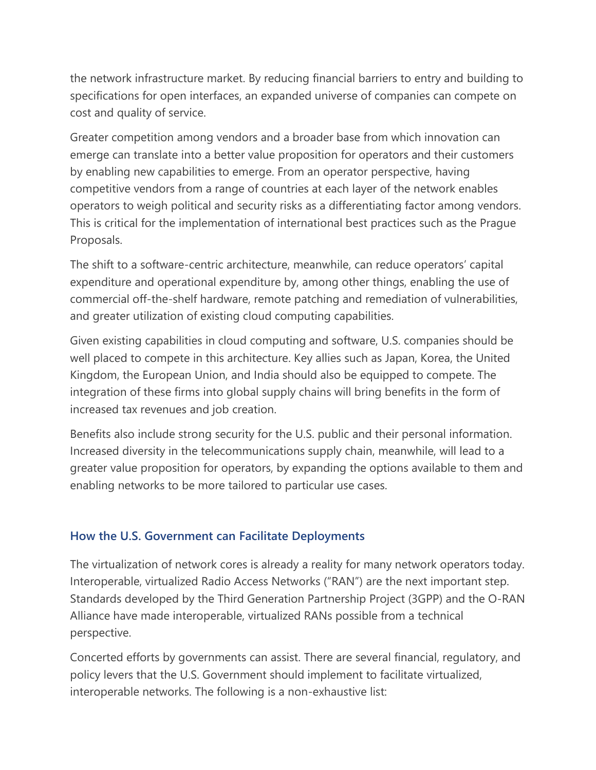the network infrastructure market. By reducing financial barriers to entry and building to specifications for open interfaces, an expanded universe of companies can compete on cost and quality of service.

Greater competition among vendors and a broader base from which innovation can emerge can translate into a better value proposition for operators and their customers by enabling new capabilities to emerge. From an operator perspective, having competitive vendors from a range of countries at each layer of the network enables operators to weigh political and security risks as a differentiating factor among vendors. This is critical for the implementation of international best practices such as the Prague Proposals.

The shift to a software-centric architecture, meanwhile, can reduce operators' capital expenditure and operational expenditure by, among other things, enabling the use of commercial off-the-shelf hardware, remote patching and remediation of vulnerabilities, and greater utilization of existing cloud computing capabilities.

Given existing capabilities in cloud computing and software, U.S. companies should be well placed to compete in this architecture. Key allies such as Japan, Korea, the United Kingdom, the European Union, and India should also be equipped to compete. The integration of these firms into global supply chains will bring benefits in the form of increased tax revenues and job creation.

Benefits also include strong security for the U.S. public and their personal information. Increased diversity in the telecommunications supply chain, meanwhile, will lead to a greater value proposition for operators, by expanding the options available to them and enabling networks to be more tailored to particular use cases.

# **How the U.S. Government can Facilitate Deployments**

The virtualization of network cores is already a reality for many network operators today. Interoperable, virtualized Radio Access Networks ("RAN") are the next important step. Standards developed by the Third Generation Partnership Project (3GPP) and the O-RAN Alliance have made interoperable, virtualized RANs possible from a technical perspective.

Concerted efforts by governments can assist. There are several financial, regulatory, and policy levers that the U.S. Government should implement to facilitate virtualized, interoperable networks. The following is a non-exhaustive list: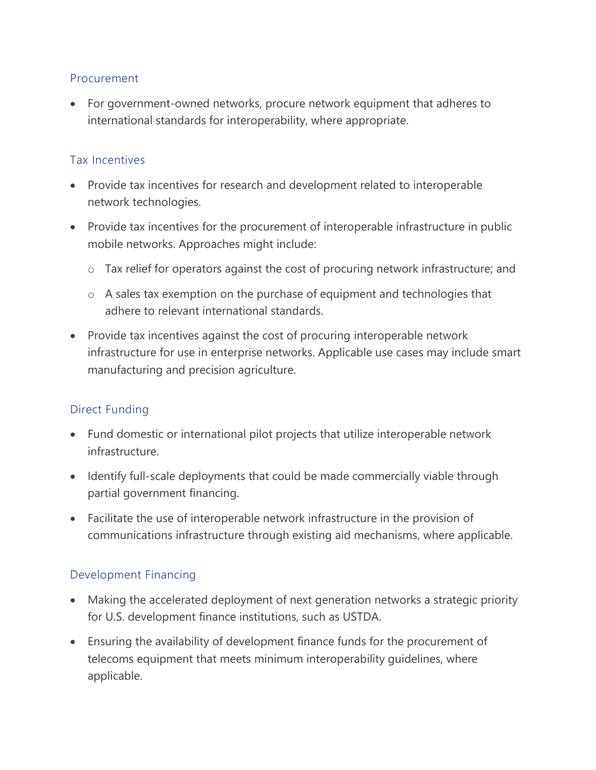#### Procurement

• For government-owned networks, procure network equipment that adheres to international standards for interoperability, where appropriate.

### Tax Incentives

- Provide tax incentives for research and development related to interoperable network technologies.
- Provide tax incentives for the procurement of interoperable infrastructure in public mobile networks. Approaches might include:
	- o Tax relief for operators against the cost of procuring network infrastructure; and
	- o A sales tax exemption on the purchase of equipment and technologies that adhere to relevant international standards.
- Provide tax incentives against the cost of procuring interoperable network infrastructure for use in enterprise networks. Applicable use cases may include smart manufacturing and precision agriculture.

# Direct Funding

- Fund domestic or international pilot projects that utilize interoperable network infrastructure.
- Identify full-scale deployments that could be made commercially viable through partial government financing.
- Facilitate the use of interoperable network infrastructure in the provision of communications infrastructure through existing aid mechanisms, where applicable.

# Development Financing

- Making the accelerated deployment of next generation networks a strategic priority for U.S. development finance institutions, such as USTDA.
- Ensuring the availability of development finance funds for the procurement of telecoms equipment that meets minimum interoperability guidelines, where applicable.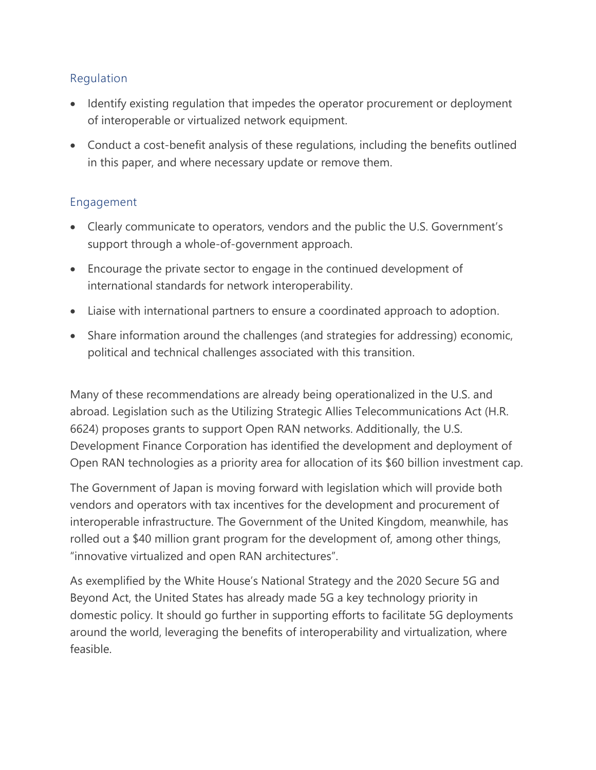### Regulation

- Identify existing regulation that impedes the operator procurement or deployment of interoperable or virtualized network equipment.
- Conduct a cost-benefit analysis of these regulations, including the benefits outlined in this paper, and where necessary update or remove them.

# Engagement

- Clearly communicate to operators, vendors and the public the U.S. Government's support through a whole-of-government approach.
- Encourage the private sector to engage in the continued development of international standards for network interoperability.
- Liaise with international partners to ensure a coordinated approach to adoption.
- Share information around the challenges (and strategies for addressing) economic, political and technical challenges associated with this transition.

Many of these recommendations are already being operationalized in the U.S. and abroad. Legislation such as the Utilizing Strategic Allies Telecommunications Act (H.R. 6624) proposes grants to support Open RAN networks. Additionally, the U.S. Development Finance Corporation has identified the development and deployment of Open RAN technologies as a priority area for allocation of its \$60 billion investment cap.

The Government of Japan is moving forward with legislation which will provide both vendors and operators with tax incentives for the development and procurement of interoperable infrastructure. The Government of the United Kingdom, meanwhile, has rolled out a \$40 million grant program for the development of, among other things, "innovative virtualized and open RAN architectures".

As exemplified by the White House's National Strategy and the 2020 Secure 5G and Beyond Act, the United States has already made 5G a key technology priority in domestic policy. It should go further in supporting efforts to facilitate 5G deployments around the world, leveraging the benefits of interoperability and virtualization, where feasible.